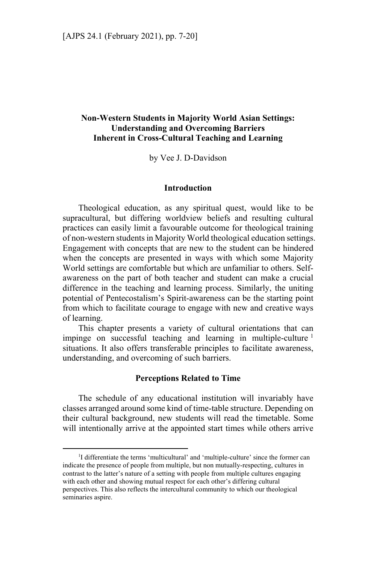# **Non-Western Students in Majority World Asian Settings: Understanding and Overcoming Barriers Inherent in Cross-Cultural Teaching and Learning**

by Vee J. D-Davidson

#### **Introduction**

Theological education, as any spiritual quest, would like to be supracultural, but differing worldview beliefs and resulting cultural practices can easily limit a favourable outcome for theological training of non-western students in Majority World theological education settings. Engagement with concepts that are new to the student can be hindered when the concepts are presented in ways with which some Majority World settings are comfortable but which are unfamiliar to others. Selfawareness on the part of both teacher and student can make a crucial difference in the teaching and learning process. Similarly, the uniting potential of Pentecostalism's Spirit-awareness can be the starting point from which to facilitate courage to engage with new and creative ways of learning.

This chapter presents a variety of cultural orientations that can impinge on successful teaching and learning in multiple-culture<sup>1</sup> situations. It also offers transferable principles to facilitate awareness, understanding, and overcoming of such barriers.

#### **Perceptions Related to Time**

The schedule of any educational institution will invariably have classes arranged around some kind of time-table structure. Depending on their cultural background, new students will read the timetable. Some will intentionally arrive at the appointed start times while others arrive

<sup>&</sup>lt;sup>1</sup>I differentiate the terms 'multicultural' and 'multiple-culture' since the former can indicate the presence of people from multiple, but non mutually-respecting, cultures in contrast to the latter's nature of a setting with people from multiple cultures engaging with each other and showing mutual respect for each other's differing cultural perspectives. This also reflects the intercultural community to which our theological seminaries aspire.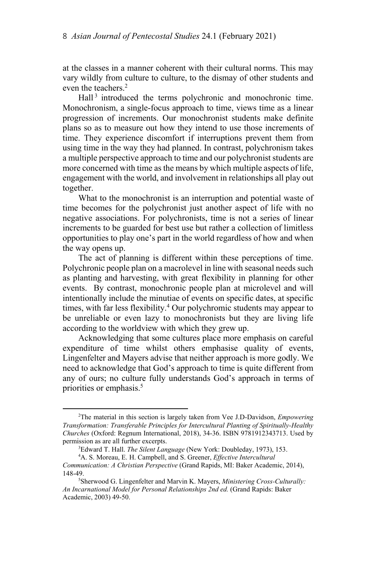at the classes in a manner coherent with their cultural norms. This may vary wildly from culture to culture, to the dismay of other students and even the teachers.<sup>2</sup>

Hall<sup>3</sup> introduced the terms polychronic and monochronic time. Monochronism, a single-focus approach to time, views time as a linear progression of increments. Our monochronist students make definite plans so as to measure out how they intend to use those increments of time. They experience discomfort if interruptions prevent them from using time in the way they had planned. In contrast, polychronism takes a multiple perspective approach to time and our polychronist students are more concerned with time as the means by which multiple aspects of life, engagement with the world, and involvement in relationships all play out together.

What to the monochronist is an interruption and potential waste of time becomes for the polychronist just another aspect of life with no negative associations. For polychronists, time is not a series of linear increments to be guarded for best use but rather a collection of limitless opportunities to play one's part in the world regardless of how and when the way opens up.

The act of planning is different within these perceptions of time. Polychronic people plan on a macrolevel in line with seasonal needs such as planting and harvesting, with great flexibility in planning for other events. By contrast, monochronic people plan at microlevel and will intentionally include the minutiae of events on specific dates, at specific times, with far less flexibility.<sup>4</sup> Our polychromic students may appear to be unreliable or even lazy to monochronists but they are living life according to the worldview with which they grew up.

Acknowledging that some cultures place more emphasis on careful expenditure of time whilst others emphasise quality of events, Lingenfelter and Mayers advise that neither approach is more godly. We need to acknowledge that God's approach to time is quite different from any of ours; no culture fully understands God's approach in terms of priorities or emphasis.<sup>5</sup>

<sup>2</sup> The material in this section is largely taken from Vee J.D-Davidson, *Empowering Transformation: Transferable Principles for Intercultural Planting of Spiritually-Healthy Churches* (Oxford: Regnum International, 2018), 34-36. ISBN 9781912343713. Used by permission as are all further excerpts.

Edward T. Hall. *The Silent Language* (New York: Doubleday, 1973), 153. 4

A. S. Moreau, E. H. Campbell, and S. Greener, *Effective Intercultural Communication: A Christian Perspective* (Grand Rapids, MI: Baker Academic, 2014), 148-49.

<sup>5</sup> Sherwood G. Lingenfelter and Marvin K. Mayers, *Ministering Cross-Culturally: An Incarnational Model for Personal Relationships 2nd ed.* (Grand Rapids: Baker Academic, 2003) 49-50.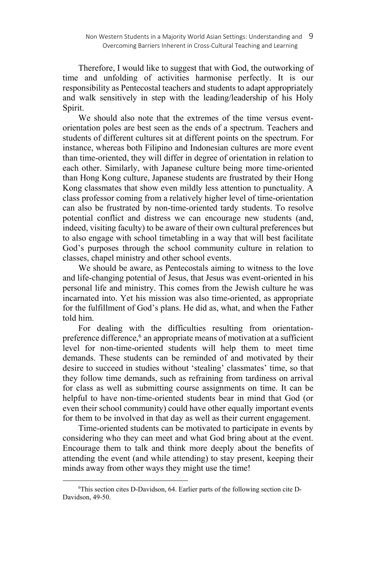Therefore, I would like to suggest that with God, the outworking of time and unfolding of activities harmonise perfectly. It is our responsibility as Pentecostal teachers and students to adapt appropriately and walk sensitively in step with the leading/leadership of his Holy Spirit.

We should also note that the extremes of the time versus eventorientation poles are best seen as the ends of a spectrum. Teachers and students of different cultures sit at different points on the spectrum. For instance, whereas both Filipino and Indonesian cultures are more event than time-oriented, they will differ in degree of orientation in relation to each other. Similarly, with Japanese culture being more time-oriented than Hong Kong culture, Japanese students are frustrated by their Hong Kong classmates that show even mildly less attention to punctuality. A class professor coming from a relatively higher level of time-orientation can also be frustrated by non-time-oriented tardy students. To resolve potential conflict and distress we can encourage new students (and, indeed, visiting faculty) to be aware of their own cultural preferences but to also engage with school timetabling in a way that will best facilitate God's purposes through the school community culture in relation to classes, chapel ministry and other school events.

We should be aware, as Pentecostals aiming to witness to the love and life-changing potential of Jesus, that Jesus was event-oriented in his personal life and ministry. This comes from the Jewish culture he was incarnated into. Yet his mission was also time-oriented, as appropriate for the fulfillment of God's plans. He did as, what, and when the Father told him.

For dealing with the difficulties resulting from orientationpreference difference,<sup>6</sup> an appropriate means of motivation at a sufficient level for non-time-oriented students will help them to meet time demands. These students can be reminded of and motivated by their desire to succeed in studies without 'stealing' classmates' time, so that they follow time demands, such as refraining from tardiness on arrival for class as well as submitting course assignments on time. It can be helpful to have non-time-oriented students bear in mind that God (or even their school community) could have other equally important events for them to be involved in that day as well as their current engagement.

Time-oriented students can be motivated to participate in events by considering who they can meet and what God bring about at the event. Encourage them to talk and think more deeply about the benefits of attending the event (and while attending) to stay present, keeping their minds away from other ways they might use the time!

<sup>6</sup> This section cites D-Davidson, 64. Earlier parts of the following section cite D-Davidson, 49-50.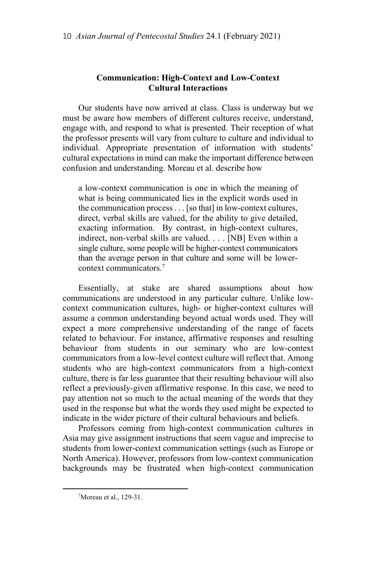# **Communication: High-Context and Low-Context Cultural Interactions**

Our students have now arrived at class. Class is underway but we must be aware how members of different cultures receive, understand, engage with, and respond to what is presented. Their reception of what the professor presents will vary from culture to culture and individual to individual. Appropriate presentation of information with students' cultural expectations in mind can make the important difference between confusion and understanding. Moreau et al. describe how

a low-context communication is one in which the meaning of what is being communicated lies in the explicit words used in the communication process . . . [so that] in low-context cultures, direct, verbal skills are valued, for the ability to give detailed, exacting information. By contrast, in high-context cultures, indirect, non-verbal skills are valued. . . . [NB] Even within a single culture, some people will be higher-context communicators than the average person in that culture and some will be lowercontext communicators.7

Essentially, at stake are shared assumptions about how communications are understood in any particular culture. Unlike lowcontext communication cultures, high- or higher-context cultures will assume a common understanding beyond actual words used. They will expect a more comprehensive understanding of the range of facets related to behaviour. For instance, affirmative responses and resulting behaviour from students in our seminary who are low-context communicators from a low-level context culture will reflect that. Among students who are high-context communicators from a high-context culture, there is far less guarantee that their resulting behaviour will also reflect a previously-given affirmative response. In this case, we need to pay attention not so much to the actual meaning of the words that they used in the response but what the words they used might be expected to indicate in the wider picture of their cultural behaviours and beliefs.

Professors coming from high-context communication cultures in Asia may give assignment instructions that seem vague and imprecise to students from lower-context communication settings (such as Europe or North America). However, professors from low-context communication backgrounds may be frustrated when high-context communication

 $\overline{a}$ 

<sup>7</sup> Moreau et al., 129-31.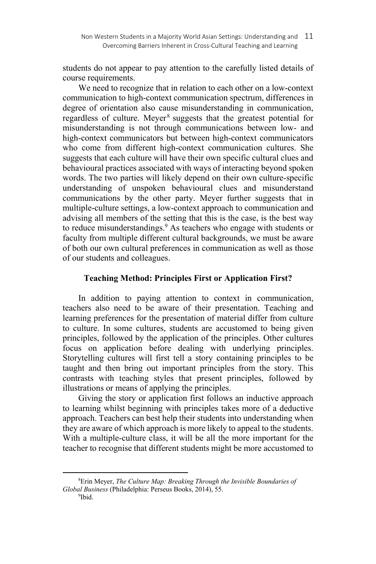students do not appear to pay attention to the carefully listed details of course requirements.

We need to recognize that in relation to each other on a low-context communication to high-context communication spectrum, differences in degree of orientation also cause misunderstanding in communication, regardless of culture. Meyer<sup>8</sup> suggests that the greatest potential for misunderstanding is not through communications between low- and high-context communicators but between high-context communicators who come from different high-context communication cultures. She suggests that each culture will have their own specific cultural clues and behavioural practices associated with ways of interacting beyond spoken words. The two parties will likely depend on their own culture-specific understanding of unspoken behavioural clues and misunderstand communications by the other party. Meyer further suggests that in multiple-culture settings, a low-context approach to communication and advising all members of the setting that this is the case, is the best way to reduce misunderstandings.<sup>9</sup> As teachers who engage with students or faculty from multiple different cultural backgrounds, we must be aware of both our own cultural preferences in communication as well as those of our students and colleagues.

## **Teaching Method: Principles First or Application First?**

In addition to paying attention to context in communication, teachers also need to be aware of their presentation. Teaching and learning preferences for the presentation of material differ from culture to culture. In some cultures, students are accustomed to being given principles, followed by the application of the principles. Other cultures focus on application before dealing with underlying principles. Storytelling cultures will first tell a story containing principles to be taught and then bring out important principles from the story. This contrasts with teaching styles that present principles, followed by illustrations or means of applying the principles.

Giving the story or application first follows an inductive approach to learning whilst beginning with principles takes more of a deductive approach. Teachers can best help their students into understanding when they are aware of which approach is more likely to appeal to the students. With a multiple-culture class, it will be all the more important for the teacher to recognise that different students might be more accustomed to

<sup>8</sup> Erin Meyer, *The Culture Map: Breaking Through the Invisible Boundaries of Global Business (Philadelphia: Perseus Books, 2014), 55.* 

 $b$ idl $\frac{9}{2}$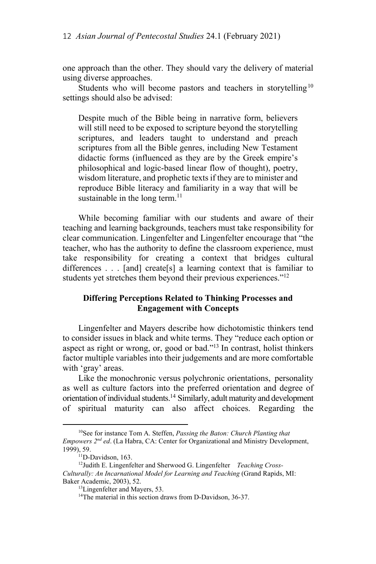one approach than the other. They should vary the delivery of material using diverse approaches.

Students who will become pastors and teachers in storytelling<sup>10</sup> settings should also be advised:

Despite much of the Bible being in narrative form, believers will still need to be exposed to scripture beyond the storytelling scriptures, and leaders taught to understand and preach scriptures from all the Bible genres, including New Testament didactic forms (influenced as they are by the Greek empire's philosophical and logic-based linear flow of thought), poetry, wisdom literature, and prophetic texts if they are to minister and reproduce Bible literacy and familiarity in a way that will be sustainable in the long term.<sup>11</sup>

While becoming familiar with our students and aware of their teaching and learning backgrounds, teachers must take responsibility for clear communication. Lingenfelter and Lingenfelter encourage that "the teacher, who has the authority to define the classroom experience, must take responsibility for creating a context that bridges cultural differences  $\ldots$  [and] create[s] a learning context that is familiar to students yet stretches them beyond their previous experiences."<sup>12</sup>

## **Differing Perceptions Related to Thinking Processes and Engagement with Concepts**

Lingenfelter and Mayers describe how dichotomistic thinkers tend to consider issues in black and white terms. They "reduce each option or aspect as right or wrong, or, good or bad."<sup>13</sup> In contrast, holist thinkers factor multiple variables into their judgements and are more comfortable with 'gray' areas.

Like the monochronic versus polychronic orientations, personality as well as culture factors into the preferred orientation and degree of orientation of individual students.<sup>14</sup> Similarly, adult maturity and development of spiritual maturity can also affect choices. Regarding the

<sup>10</sup>See for instance Tom A. Steffen, *Passing the Baton: Church Planting that Empowers 2nd ed*. (La Habra, CA: Center for Organizational and Ministry Development, 1999), 59.<br><sup>11</sup>D-Davidson, 163.

<sup>12</sup>Judith E. Lingenfelter and Sherwood G. Lingenfelter *Teaching Cross-Culturally: An Incarnational Model for Learning and Teaching* (Grand Rapids, MI: Baker Academic, 2003), 52.<br><sup>13</sup>Lingenfelter and Mayers, 53.

<sup>&</sup>lt;sup>14</sup>The material in this section draws from D-Davidson, 36-37.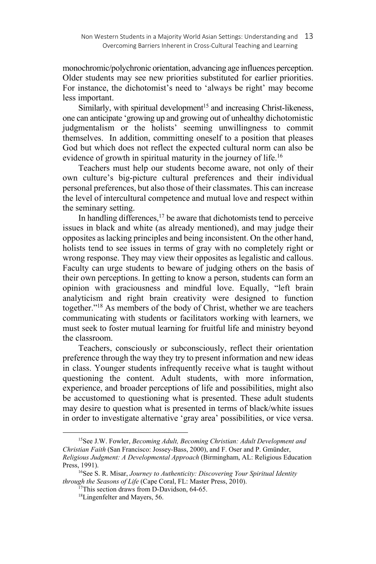monochromic/polychronic orientation, advancing age influences perception. Older students may see new priorities substituted for earlier priorities. For instance, the dichotomist's need to 'always be right' may become less important.

Similarly, with spiritual development<sup>15</sup> and increasing Christ-likeness, one can anticipate 'growing up and growing out of unhealthy dichotomistic judgmentalism or the holists' seeming unwillingness to commit themselves. In addition, committing oneself to a position that pleases God but which does not reflect the expected cultural norm can also be evidence of growth in spiritual maturity in the journey of life.<sup>16</sup>

Teachers must help our students become aware, not only of their own culture's big-picture cultural preferences and their individual personal preferences, but also those of their classmates. This can increase the level of intercultural competence and mutual love and respect within the seminary setting.

In handling differences, $17$  be aware that dichotomists tend to perceive issues in black and white (as already mentioned), and may judge their opposites as lacking principles and being inconsistent. On the other hand, holists tend to see issues in terms of gray with no completely right or wrong response. They may view their opposites as legalistic and callous. Faculty can urge students to beware of judging others on the basis of their own perceptions. In getting to know a person, students can form an opinion with graciousness and mindful love. Equally, "left brain analyticism and right brain creativity were designed to function together."18 As members of the body of Christ, whether we are teachers communicating with students or facilitators working with learners, we must seek to foster mutual learning for fruitful life and ministry beyond the classroom.

Teachers, consciously or subconsciously, reflect their orientation preference through the way they try to present information and new ideas in class. Younger students infrequently receive what is taught without questioning the content. Adult students, with more information, experience, and broader perceptions of life and possibilities, might also be accustomed to questioning what is presented. These adult students may desire to question what is presented in terms of black/white issues in order to investigate alternative 'gray area' possibilities, or vice versa.

15See J.W. Fowler, *Becoming Adult, Becoming Christian: Adult Development and Christian Faith* (San Francisco: Jossey-Bass, 2000), and F. Oser and P. Gmünder, *Religious Judgment: A Developmental Approach* (Birmingham, AL: Religious Education

 $\overline{a}$ 

<sup>&</sup>lt;sup>16</sup>See S. R. Misar, *Journey to Authenticity: Discovering Your Spiritual Identity through the Seasons of Life* (Cape Coral, FL: Master Press, 2010).<br><sup>17</sup>This section draws from D-Davidson, 64-65.

<sup>18</sup>Lingenfelter and Mayers, 56.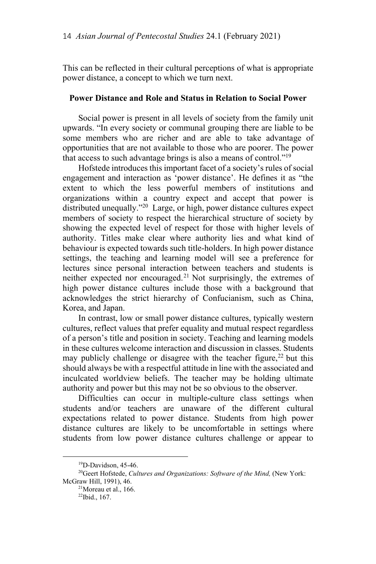This can be reflected in their cultural perceptions of what is appropriate power distance, a concept to which we turn next.

#### **Power Distance and Role and Status in Relation to Social Power**

Social power is present in all levels of society from the family unit upwards. "In every society or communal grouping there are liable to be some members who are richer and are able to take advantage of opportunities that are not available to those who are poorer. The power that access to such advantage brings is also a means of control."19

Hofstede introduces this important facet of a society's rules of social engagement and interaction as 'power distance'. He defines it as "the extent to which the less powerful members of institutions and organizations within a country expect and accept that power is distributed unequally."20 Large, or high, power distance cultures expect members of society to respect the hierarchical structure of society by showing the expected level of respect for those with higher levels of authority. Titles make clear where authority lies and what kind of behaviour is expected towards such title-holders. In high power distance settings, the teaching and learning model will see a preference for lectures since personal interaction between teachers and students is neither expected nor encouraged.<sup>21</sup> Not surprisingly, the extremes of high power distance cultures include those with a background that acknowledges the strict hierarchy of Confucianism, such as China, Korea, and Japan.

In contrast, low or small power distance cultures, typically western cultures, reflect values that prefer equality and mutual respect regardless of a person's title and position in society. Teaching and learning models in these cultures welcome interaction and discussion in classes. Students may publicly challenge or disagree with the teacher figure,  $22$  but this should always be with a respectful attitude in line with the associated and inculcated worldview beliefs. The teacher may be holding ultimate authority and power but this may not be so obvious to the observer.

Difficulties can occur in multiple-culture class settings when students and/or teachers are unaware of the different cultural expectations related to power distance. Students from high power distance cultures are likely to be uncomfortable in settings where students from low power distance cultures challenge or appear to

<sup>&</sup>lt;sup>19</sup>D-Davidson, 45-46.

<sup>&</sup>lt;sup>20</sup>Geert Hofstede, *Cultures and Organizations: Software of the Mind*, (New York: McGraw Hill, 1991), 46.<br><sup>21</sup>Moreau et al., 166.

<sup>22</sup>Ibid., 167.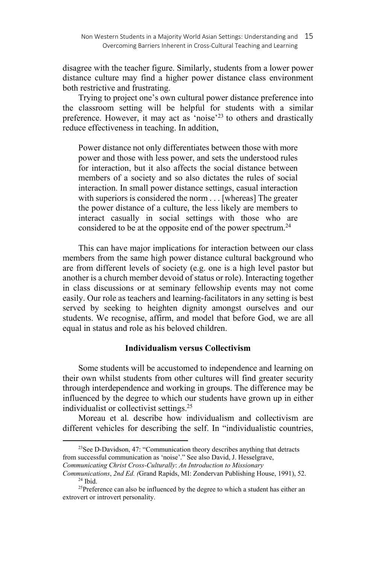disagree with the teacher figure. Similarly, students from a lower power distance culture may find a higher power distance class environment both restrictive and frustrating.

Trying to project one's own cultural power distance preference into the classroom setting will be helpful for students with a similar preference. However, it may act as 'noise'<sup>23</sup> to others and drastically reduce effectiveness in teaching. In addition,

Power distance not only differentiates between those with more power and those with less power, and sets the understood rules for interaction, but it also affects the social distance between members of a society and so also dictates the rules of social interaction. In small power distance settings, casual interaction with superiors is considered the norm . . . [whereas] The greater the power distance of a culture, the less likely are members to interact casually in social settings with those who are considered to be at the opposite end of the power spectrum.<sup>24</sup>

This can have major implications for interaction between our class members from the same high power distance cultural background who are from different levels of society (e.g. one is a high level pastor but another is a church member devoid of status or role). Interacting together in class discussions or at seminary fellowship events may not come easily. Our role as teachers and learning-facilitators in any setting is best served by seeking to heighten dignity amongst ourselves and our students. We recognise, affirm, and model that before God, we are all equal in status and role as his beloved children.

## **Individualism versus Collectivism**

Some students will be accustomed to independence and learning on their own whilst students from other cultures will find greater security through interdependence and working in groups. The difference may be influenced by the degree to which our students have grown up in either individualist or collectivist settings.25

Moreau et al*.* describe how individualism and collectivism are different vehicles for describing the self. In "individualistic countries,

 $^{23}$ See D-Davidson, 47: "Communication theory describes anything that detracts from successful communication as 'noise'." See also David, J. Hesselgrave, *Communicating Christ Cross-Culturally*: *An Introduction to Missionary* 

*Communications*, *2nd Ed. (*Grand Rapids, MI: Zondervan Publishing House, 1991), 52. 24 Ibid.

<sup>&</sup>lt;sup>25</sup>Preference can also be influenced by the degree to which a student has either an extrovert or introvert personality.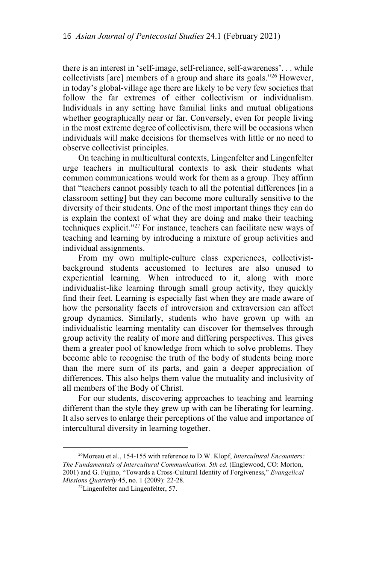there is an interest in 'self-image, self-reliance, self-awareness'. . . while collectivists [are] members of a group and share its goals."26 However, in today's global-village age there are likely to be very few societies that follow the far extremes of either collectivism or individualism. Individuals in any setting have familial links and mutual obligations whether geographically near or far. Conversely, even for people living in the most extreme degree of collectivism, there will be occasions when individuals will make decisions for themselves with little or no need to observe collectivist principles.

On teaching in multicultural contexts, Lingenfelter and Lingenfelter urge teachers in multicultural contexts to ask their students what common communications would work for them as a group. They affirm that "teachers cannot possibly teach to all the potential differences [in a classroom setting] but they can become more culturally sensitive to the diversity of their students. One of the most important things they can do is explain the context of what they are doing and make their teaching techniques explicit."27 For instance, teachers can facilitate new ways of teaching and learning by introducing a mixture of group activities and individual assignments.

From my own multiple-culture class experiences, collectivistbackground students accustomed to lectures are also unused to experiential learning. When introduced to it, along with more individualist-like learning through small group activity, they quickly find their feet. Learning is especially fast when they are made aware of how the personality facets of introversion and extraversion can affect group dynamics. Similarly, students who have grown up with an individualistic learning mentality can discover for themselves through group activity the reality of more and differing perspectives. This gives them a greater pool of knowledge from which to solve problems. They become able to recognise the truth of the body of students being more than the mere sum of its parts, and gain a deeper appreciation of differences. This also helps them value the mutuality and inclusivity of all members of the Body of Christ.

For our students, discovering approaches to teaching and learning different than the style they grew up with can be liberating for learning. It also serves to enlarge their perceptions of the value and importance of intercultural diversity in learning together.

l

<sup>26</sup>Moreau et al., 154-155 with reference to D.W. Klopf, *Intercultural Encounters: The Fundamentals of Intercultural Communication. 5th ed.* (Englewood, CO: Morton, 2001) and G. Fujino, "Towards a Cross-Cultural Identity of Forgiveness," *Evangelical* 

<sup>&</sup>lt;sup>27</sup>Lingenfelter and Lingenfelter, 57.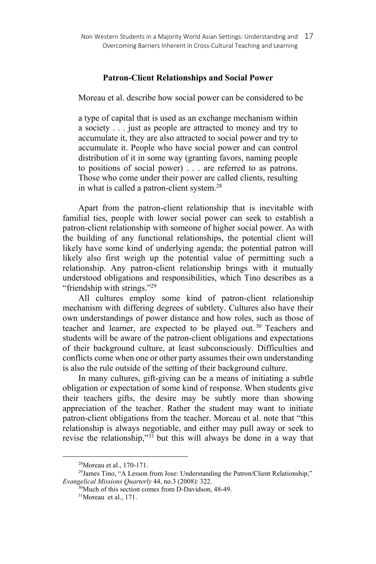### **Patron-Client Relationships and Social Power**

Moreau et al. describe how social power can be considered to be

a type of capital that is used as an exchange mechanism within a society . . . just as people are attracted to money and try to accumulate it, they are also attracted to social power and try to accumulate it. People who have social power and can control distribution of it in some way (granting favors, naming people to positions of social power) . . . are referred to as patrons. Those who come under their power are called clients, resulting in what is called a patron-client system.<sup>28</sup>

Apart from the patron-client relationship that is inevitable with familial ties, people with lower social power can seek to establish a patron-client relationship with someone of higher social power. As with the building of any functional relationships, the potential client will likely have some kind of underlying agenda; the potential patron will likely also first weigh up the potential value of permitting such a relationship. Any patron-client relationship brings with it mutually understood obligations and responsibilities, which Tino describes as a "friendship with strings."29

All cultures employ some kind of patron-client relationship mechanism with differing degrees of subtlety. Cultures also have their own understandings of power distance and how roles, such as those of teacher and learner, are expected to be played out.<sup>30</sup> Teachers and students will be aware of the patron-client obligations and expectations of their background culture, at least subconsciously. Difficulties and conflicts come when one or other party assumes their own understanding is also the rule outside of the setting of their background culture.

In many cultures, gift-giving can be a means of initiating a subtle obligation or expectation of some kind of response. When students give their teachers gifts, the desire may be subtly more than showing appreciation of the teacher. Rather the student may want to initiate patron-client obligations from the teacher. Moreau et al. note that "this relationship is always negotiable, and either may pull away or seek to revise the relationship,"31 but this will always be done in a way that

<sup>28</sup>Moreau et al., 170-171.

<sup>&</sup>lt;sup>29</sup>James Tino, "A Lesson from Jose: Understanding the Patron/Client Relationship," *Evangelical Missions Quarterly* 44, no.3 (2008): 322.<br><sup>30</sup>Much of this section comes from D-Davidson, 48-49.

<sup>&</sup>lt;sup>31</sup>Moreau et al., 171.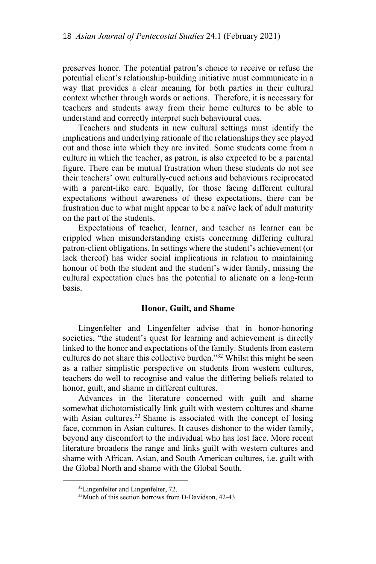preserves honor. The potential patron's choice to receive or refuse the potential client's relationship-building initiative must communicate in a way that provides a clear meaning for both parties in their cultural context whether through words or actions. Therefore, it is necessary for teachers and students away from their home cultures to be able to understand and correctly interpret such behavioural cues.

Teachers and students in new cultural settings must identify the implications and underlying rationale of the relationships they see played out and those into which they are invited. Some students come from a culture in which the teacher, as patron, is also expected to be a parental figure. There can be mutual frustration when these students do not see their teachers' own culturally-cued actions and behaviours reciprocated with a parent-like care. Equally, for those facing different cultural expectations without awareness of these expectations, there can be frustration due to what might appear to be a naïve lack of adult maturity on the part of the students.

Expectations of teacher, learner, and teacher as learner can be crippled when misunderstanding exists concerning differing cultural patron-client obligations. In settings where the student's achievement (or lack thereof) has wider social implications in relation to maintaining honour of both the student and the student's wider family, missing the cultural expectation clues has the potential to alienate on a long-term basis.

#### **Honor, Guilt, and Shame**

Lingenfelter and Lingenfelter advise that in honor-honoring societies, "the student's quest for learning and achievement is directly linked to the honor and expectations of the family. Students from eastern cultures do not share this collective burden."32 Whilst this might be seen as a rather simplistic perspective on students from western cultures, teachers do well to recognise and value the differing beliefs related to honor, guilt, and shame in different cultures.

Advances in the literature concerned with guilt and shame somewhat dichotomistically link guilt with western cultures and shame with Asian cultures.<sup>33</sup> Shame is associated with the concept of losing face, common in Asian cultures. It causes dishonor to the wider family, beyond any discomfort to the individual who has lost face. More recent literature broadens the range and links guilt with western cultures and shame with African, Asian, and South American cultures, i.e. guilt with the Global North and shame with the Global South.

<sup>&</sup>lt;sup>32</sup>Lingenfelter and Lingenfelter, 72.

<sup>&</sup>lt;sup>33</sup>Much of this section borrows from D-Davidson, 42-43.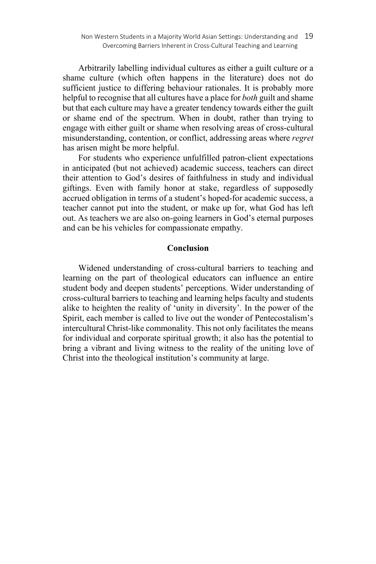Arbitrarily labelling individual cultures as either a guilt culture or a shame culture (which often happens in the literature) does not do sufficient justice to differing behaviour rationales. It is probably more helpful to recognise that all cultures have a place for *both* guilt and shame but that each culture may have a greater tendency towards either the guilt or shame end of the spectrum. When in doubt, rather than trying to engage with either guilt or shame when resolving areas of cross-cultural misunderstanding, contention, or conflict, addressing areas where *regret* has arisen might be more helpful.

For students who experience unfulfilled patron-client expectations in anticipated (but not achieved) academic success, teachers can direct their attention to God's desires of faithfulness in study and individual giftings. Even with family honor at stake, regardless of supposedly accrued obligation in terms of a student's hoped-for academic success, a teacher cannot put into the student, or make up for, what God has left out. As teachers we are also on-going learners in God's eternal purposes and can be his vehicles for compassionate empathy.

# **Conclusion**

Widened understanding of cross-cultural barriers to teaching and learning on the part of theological educators can influence an entire student body and deepen students' perceptions. Wider understanding of cross-cultural barriers to teaching and learning helps faculty and students alike to heighten the reality of 'unity in diversity'. In the power of the Spirit, each member is called to live out the wonder of Pentecostalism's intercultural Christ-like commonality. This not only facilitates the means for individual and corporate spiritual growth; it also has the potential to bring a vibrant and living witness to the reality of the uniting love of Christ into the theological institution's community at large.